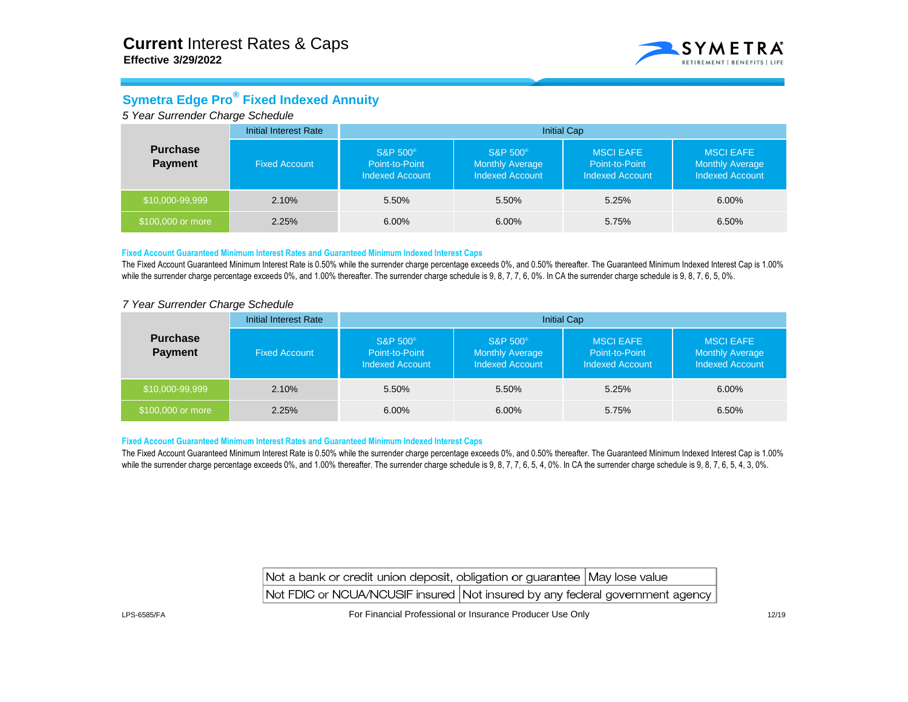

## **Symetra Edge Pro® Fixed Indexed Annuity**

*5 Year Surrender Charge Schedule*

| <b>Purchase</b><br><b>Payment</b> | <b>Initial Interest Rate</b><br><b>Initial Cap</b> |                                                                  |                                                                  |                                                              |                                                                      |  |  |
|-----------------------------------|----------------------------------------------------|------------------------------------------------------------------|------------------------------------------------------------------|--------------------------------------------------------------|----------------------------------------------------------------------|--|--|
|                                   | <b>Fixed Account</b>                               | S&P 500 <sup>®</sup><br>Point-to-Point<br><b>Indexed Account</b> | <b>S&amp;P 500®</b><br>Monthly Average<br><b>Indexed Account</b> | <b>MSCI EAFE</b><br>Point-to-Point<br><b>Indexed Account</b> | <b>MSCI EAFE</b><br><b>Monthly Average</b><br><b>Indexed Account</b> |  |  |
| \$10,000-99,999                   | 2.10%                                              | 5.50%                                                            | 5.50%                                                            | 5.25%                                                        | 6.00%                                                                |  |  |
| \$100,000 or more                 | 2.25%                                              | 6.00%                                                            | $6.00\%$                                                         | 5.75%                                                        | 6.50%                                                                |  |  |

## **Fixed Account Guaranteed Minimum Interest Rates and Guaranteed Minimum Indexed Interest Caps**

The Fixed Account Guaranteed Minimum Interest Rate is 0.50% while the surrender charge percentage exceeds 0%, and 0.50% thereafter. The Guaranteed Minimum Indexed Interest Cap is 1.00% while the surrender charge percentage exceeds 0%, and 1.00% thereafter. The surrender charge schedule is 9, 8, 7, 7, 6, 0%. In CA the surrender charge schedule is 9, 8, 7, 6, 5, 0%.

### *7 Year Surrender Charge Schedule*

| <b>Purchase</b><br><b>Payment</b> | <b>Initial Interest Rate</b> | <b>Initial Cap</b>                                        |                                                                         |                                                              |                                                                      |  |  |  |
|-----------------------------------|------------------------------|-----------------------------------------------------------|-------------------------------------------------------------------------|--------------------------------------------------------------|----------------------------------------------------------------------|--|--|--|
|                                   | <b>Fixed Account</b>         | S&P 500 <sup>®</sup><br>Point-to-Point<br>Indexed Account | <b>S&amp;P 500®</b><br><b>Monthly Average</b><br><b>Indexed Account</b> | <b>MSCI EAFE</b><br>Point-to-Point<br><b>Indexed Account</b> | <b>MSCI EAFE</b><br><b>Monthly Average</b><br><b>Indexed Account</b> |  |  |  |
| \$10,000-99,999                   | 2.10%                        | 5.50%                                                     | 5.50%                                                                   | 5.25%                                                        | 6.00%                                                                |  |  |  |
| \$100,000 or more                 | 2.25%                        | 6.00%                                                     | $6.00\%$                                                                | 5.75%                                                        | 6.50%                                                                |  |  |  |

#### **Fixed Account Guaranteed Minimum Interest Rates and Guaranteed Minimum Indexed Interest Caps**

The Fixed Account Guaranteed Minimum Interest Rate is 0.50% while the surrender charge percentage exceeds 0%, and 0.50% thereafter. The Guaranteed Minimum Indexed Interest Cap is 1.00% while the surrender charge percentage exceeds 0%, and 1.00% thereafter. The surrender charge schedule is 9, 8, 7, 7, 6, 5, 4, 0%. In CA the surrender charge schedule is 9, 8, 7, 6, 5, 4, 3, 0%.

| Not a bank or credit union deposit, obligation or guarantee May lose value   |  |
|------------------------------------------------------------------------------|--|
| Not FDIC or NCUA/NCUSIF insured Not insured by any federal government agency |  |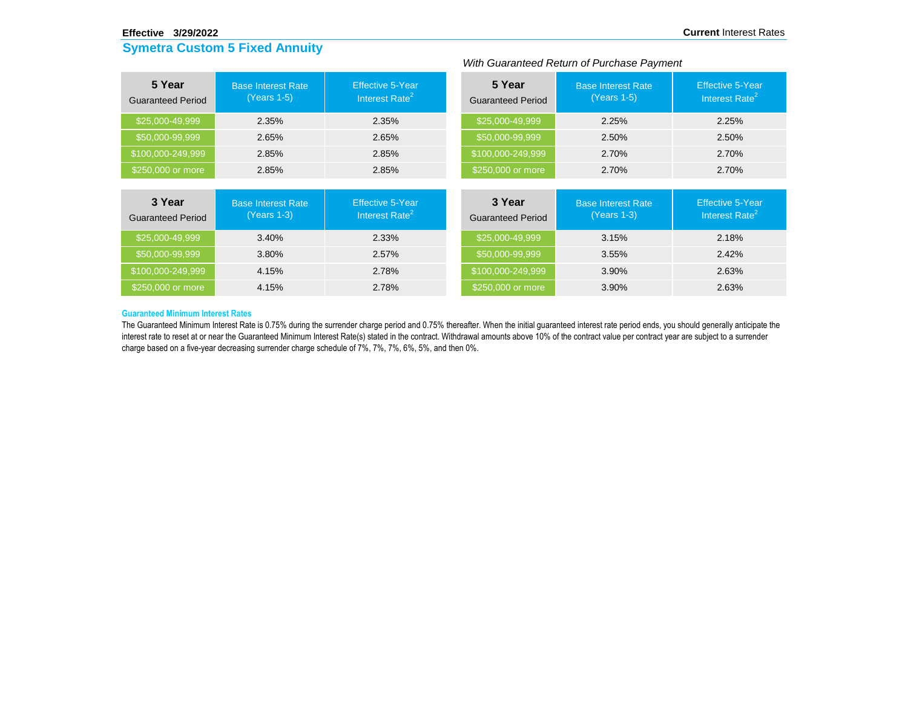#### **Effective 3/29/2022**

# **Symetra Custom 5 Fixed Annuity**

|                                    | With Guaranteed Return of Purchase Payment |                                                       |                                    |                                          |                                                       |  |  |  |
|------------------------------------|--------------------------------------------|-------------------------------------------------------|------------------------------------|------------------------------------------|-------------------------------------------------------|--|--|--|
| 5 Year<br><b>Guaranteed Period</b> | <b>Base Interest Rate</b><br>(Years 1-5)   | Effective 5-Year<br>Interest Rate <sup>2</sup>        | 5 Year<br><b>Guaranteed Period</b> | <b>Base Interest Rate</b><br>(Years 1-5) | <b>Effective 5-Year</b><br>Interest Rate <sup>2</sup> |  |  |  |
| \$25,000-49,999                    | 2.35%                                      | 2.35%                                                 | \$25,000-49,999                    | 2.25%                                    | 2.25%                                                 |  |  |  |
| \$50,000-99,999                    | 2.65%                                      | 2.65%                                                 | \$50,000-99,999                    | 2.50%                                    | 2.50%                                                 |  |  |  |
| \$100,000-249,999                  | 2.85%                                      | 2.85%                                                 | \$100,000-249,999                  | 2.70%                                    | 2.70%                                                 |  |  |  |
| \$250,000 or more                  | 2.85%                                      | 2.85%                                                 | \$250,000 or more                  | 2.70%                                    | 2.70%                                                 |  |  |  |
|                                    |                                            |                                                       |                                    |                                          |                                                       |  |  |  |
| 3 Year<br><b>Guaranteed Period</b> | <b>Base Interest Rate</b><br>(Years 1-3)   | <b>Effective 5-Year</b><br>Interest Rate <sup>2</sup> | 3 Year<br><b>Guaranteed Period</b> | <b>Base Interest Rate</b><br>(Years 1-3) | <b>Effective 5-Year</b><br>Interest Rate <sup>2</sup> |  |  |  |
| \$25,000-49,999                    | 3.40%                                      | 2.33%                                                 | \$25,000-49,999                    | 3.15%                                    | 2.18%                                                 |  |  |  |
| $550,000-99,999$                   | 3.80%                                      | 2.57%                                                 | \$50,000-99,999                    | 3.55%                                    | 2.42%                                                 |  |  |  |

#### **Guaranteed Minimum Interest Rates**

The Guaranteed Minimum Interest Rate is 0.75% during the surrender charge period and 0.75% thereafter. When the initial guaranteed interest rate period ends, you should generally anticipate the interest rate to reset at or near the Guaranteed Minimum Interest Rate(s) stated in the contract. Withdrawal amounts above 10% of the contract value per contract year are subject to a surrender charge based on a five-year decreasing surrender charge schedule of 7%, 7%, 7%, 6%, 5%, and then 0%.

\$100,000-249,999 4.15% 2.78% \$100,000-249,999 3.90% 2.63%

\$250,000 or more **4.15%** 4.15% **2.78%** 3250,000 or more 3.90% 2.63%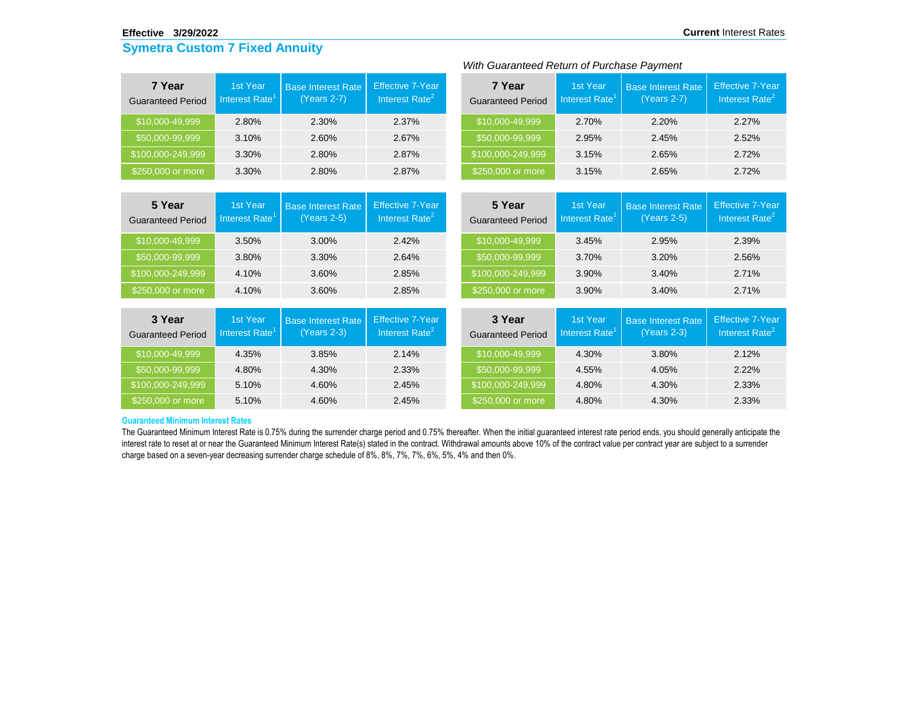#### **Effective 3/29/2022**

## **Symetra Custom 7 Fixed Annuity**

| 7 Year<br><b>Guaranteed Period</b> | 1st Year<br>Interest Rate <sup>1</sup> | <b>Base Interest Rate</b><br>(Years 2-7) | <b>Effective 7-Year</b><br>Interest Rate <sup>2</sup> | 7 Year<br><b>Guaranteed Period</b> | 1st Year<br>Interest Rate <sup>1</sup> | <b>Base Interest Rate</b><br>(Years 2-7) | <b>Effective 7-</b><br>Interest Ra |  |  |
|------------------------------------|----------------------------------------|------------------------------------------|-------------------------------------------------------|------------------------------------|----------------------------------------|------------------------------------------|------------------------------------|--|--|
| \$10,000-49,999                    | 2.80%                                  | 2.30%                                    | 2.37%                                                 | \$10,000-49,999                    | 2.70%                                  | 2.20%                                    | 2.27%                              |  |  |
| \$50,000-99,999                    | 3.10%                                  | 2.60%                                    | 2.67%                                                 | \$50,000-99,999                    | 2.95%                                  | 2.45%                                    | 2.52%                              |  |  |
| \$100,000-249,999                  | 3.30%                                  | 2.80%                                    | 2.87%                                                 | \$100,000-249,999                  | 3.15%                                  | 2.65%                                    | 2.72%                              |  |  |
| \$250,000 or more                  | 3.30%                                  | 2.80%                                    | 2.87%                                                 | \$250,000 or more                  | 3.15%                                  | 2.65%                                    | 2.72%                              |  |  |

## *With Guaranteed Return of Purchase Payment*

| 7 Year<br><b>Guaranteed Period</b> | <b>1st Year</b><br>Interest Rate <sup>1</sup> | <b>Base Interest Rate</b><br>(Years 2-7) | <b>Effective 7-Year</b><br>Interest Rate <sup>2</sup> |  |
|------------------------------------|-----------------------------------------------|------------------------------------------|-------------------------------------------------------|--|
| \$10,000-49,999                    | 2.70%                                         | 2.20%                                    | 2.27%                                                 |  |
| \$50,000-99,999                    | 2.95%                                         | 2.45%                                    | 2.52%                                                 |  |
| \$100,000-249,999                  | 3.15%                                         | 2.65%                                    | 2.72%                                                 |  |
| \$250,000 or more                  | 3.15%                                         | 2.65%                                    | 2.72%                                                 |  |

| 5 Year<br><b>Guaranteed Period</b> | 1st Year<br>Interest Rate <sup>1</sup> | <b>Base Interest Rate</b><br>$(Years 2-5)$ | <b>Effective 7-Year</b><br>Interest Rate $^2$ | 5 Year<br><b>Guaranteed Period</b> | 1st Year<br>Interest Rate' | <b>Base Interest Rate</b><br>$(Years 2-5)$ | <b>Effective 7-Year</b><br>Interest Rate <sup>2</sup> |
|------------------------------------|----------------------------------------|--------------------------------------------|-----------------------------------------------|------------------------------------|----------------------------|--------------------------------------------|-------------------------------------------------------|
| \$10,000-49,999                    | 3.50%                                  | 3.00%                                      | 2.42%                                         | \$10,000-49,999                    | 3.45%                      | 2.95%                                      | 2.39%                                                 |
| \$50,000-99,999                    | 3.80%                                  | 3.30%                                      | 2.64%                                         | \$50,000-99,999                    | 3.70%                      | $3.20\%$                                   | 2.56%                                                 |
| \$100,000-249,999                  | 4.10%                                  | 3.60%                                      | 2.85%                                         | \$100,000-249,999                  | 3.90%                      | 3.40%                                      | 2.71%                                                 |
| \$250,000 or more                  | 4.10%                                  | 3.60%                                      | 2.85%                                         | \$250,000 or more                  | 3.90%                      | 3.40%                                      | 2.71%                                                 |

| 3 Year<br><b>Guaranteed Period</b> | 1st Year<br>Interest Rate <sup>1</sup> | <b>Base Interest Rate</b><br>$(Years 2-3)$ | Effective 7-Year<br>Interest Rate <sup><math>2</math></sup> | 3 Year<br><b>Guaranteed Period</b> | 1st Year<br>Interest Rate <sup>1</sup> | <b>Base Interest Rate</b><br>$(Years 2-3)$ | <b>Effective 7-Year</b><br>Interest Rate <sup>2</sup> |
|------------------------------------|----------------------------------------|--------------------------------------------|-------------------------------------------------------------|------------------------------------|----------------------------------------|--------------------------------------------|-------------------------------------------------------|
| \$10,000-49,999                    | 4.35%                                  | 3.85%                                      | 2.14%                                                       | \$10,000-49,999                    | 4.30%                                  | 3.80%                                      | 2.12%                                                 |
| \$50,000-99,999                    | 4.80%                                  | 4.30%                                      | 2.33%                                                       | \$50,000-99,999                    | 4.55%                                  | 4.05%                                      | $2.22\%$                                              |
| \$100,000-249,999                  | 5.10%                                  | 4.60%                                      | 2.45%                                                       | \$100,000-249,999                  | 4.80%                                  | 4.30%                                      | 2.33%                                                 |
| \$250,000 or more                  | 5.10%                                  | 4.60%                                      | 2.45%                                                       | \$250,000 or more                  | 4.80%                                  | 4.30%                                      | 2.33%                                                 |

### **Guaranteed Minimum Interest Rates**

The Guaranteed Minimum Interest Rate is 0.75% during the surrender charge period and 0.75% thereafter. When the initial guaranteed interest rate period ends, you should generally anticipate the interest rate to reset at or near the Guaranteed Minimum Interest Rate(s) stated in the contract. Withdrawal amounts above 10% of the contract value per contract year are subject to a surrender charge based on a seven-year decreasing surrender charge schedule of 8%, 8%, 7%, 7%, 6%, 5%, 4% and then 0%.